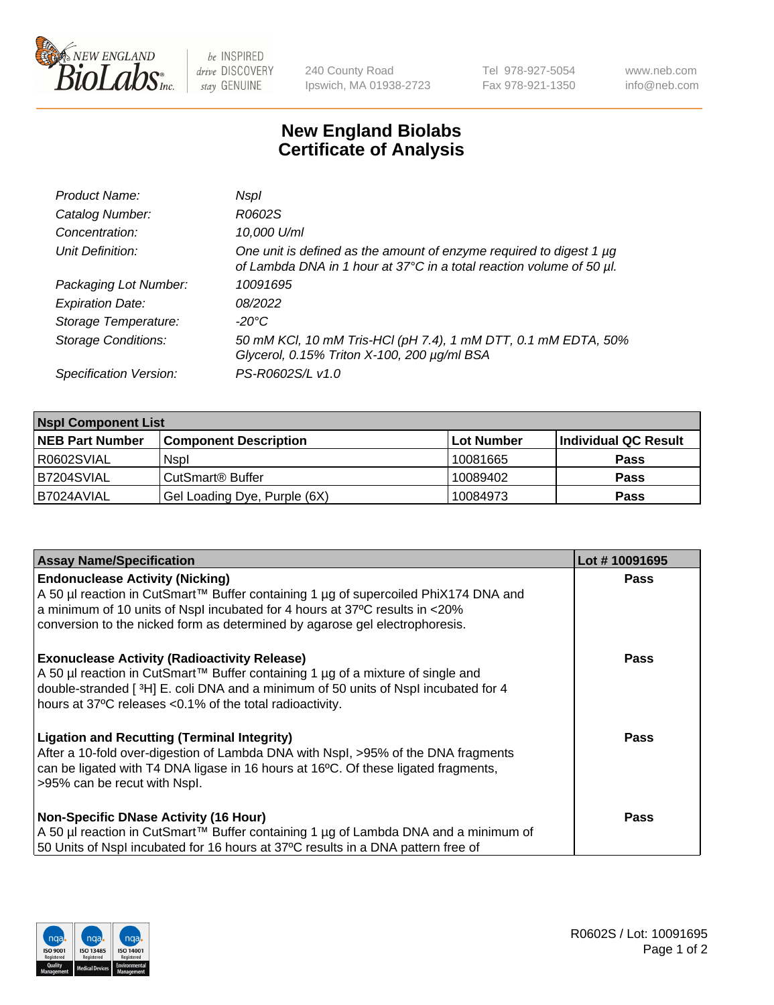

 $be$  INSPIRED drive DISCOVERY stay GENUINE

240 County Road Ipswich, MA 01938-2723 Tel 978-927-5054 Fax 978-921-1350 www.neb.com info@neb.com

## **New England Biolabs Certificate of Analysis**

| Product Name:              | Nspl                                                                                                                                        |
|----------------------------|---------------------------------------------------------------------------------------------------------------------------------------------|
| Catalog Number:            | R0602S                                                                                                                                      |
| Concentration:             | 10,000 U/ml                                                                                                                                 |
| Unit Definition:           | One unit is defined as the amount of enzyme required to digest 1 µg<br>of Lambda DNA in 1 hour at 37°C in a total reaction volume of 50 µl. |
| Packaging Lot Number:      | 10091695                                                                                                                                    |
| <b>Expiration Date:</b>    | 08/2022                                                                                                                                     |
| Storage Temperature:       | -20°C                                                                                                                                       |
| <b>Storage Conditions:</b> | 50 mM KCl, 10 mM Tris-HCl (pH 7.4), 1 mM DTT, 0.1 mM EDTA, 50%<br>Glycerol, 0.15% Triton X-100, 200 µg/ml BSA                               |
| Specification Version:     | PS-R0602S/L v1.0                                                                                                                            |

| <b>Nspl Component List</b> |                              |            |                      |  |  |
|----------------------------|------------------------------|------------|----------------------|--|--|
| <b>NEB Part Number</b>     | <b>Component Description</b> | Lot Number | Individual QC Result |  |  |
| I R0602SVIAL               | <b>Nspl</b>                  | 10081665   | <b>Pass</b>          |  |  |
| B7204SVIAL                 | CutSmart <sup>®</sup> Buffer | 10089402   | <b>Pass</b>          |  |  |
| I B7024AVIAL               | Gel Loading Dye, Purple (6X) | 10084973   | <b>Pass</b>          |  |  |

| <b>Assay Name/Specification</b>                                                                                                                                    | Lot #10091695 |
|--------------------------------------------------------------------------------------------------------------------------------------------------------------------|---------------|
| <b>Endonuclease Activity (Nicking)</b>                                                                                                                             | <b>Pass</b>   |
| A 50 µl reaction in CutSmart™ Buffer containing 1 µg of supercoiled PhiX174 DNA and<br>a minimum of 10 units of Nspl incubated for 4 hours at 37°C results in <20% |               |
| conversion to the nicked form as determined by agarose gel electrophoresis.                                                                                        |               |
|                                                                                                                                                                    |               |
| <b>Exonuclease Activity (Radioactivity Release)</b>                                                                                                                | <b>Pass</b>   |
| A 50 µl reaction in CutSmart™ Buffer containing 1 µg of a mixture of single and                                                                                    |               |
| double-stranded [3H] E. coli DNA and a minimum of 50 units of Nspl incubated for 4<br>hours at 37°C releases <0.1% of the total radioactivity.                     |               |
|                                                                                                                                                                    |               |
| <b>Ligation and Recutting (Terminal Integrity)</b>                                                                                                                 | Pass          |
| After a 10-fold over-digestion of Lambda DNA with Nspl, >95% of the DNA fragments                                                                                  |               |
| can be ligated with T4 DNA ligase in 16 hours at 16°C. Of these ligated fragments,<br>>95% can be recut with Nspl.                                                 |               |
|                                                                                                                                                                    |               |
| <b>Non-Specific DNase Activity (16 Hour)</b>                                                                                                                       | <b>Pass</b>   |
| A 50 µl reaction in CutSmart™ Buffer containing 1 µg of Lambda DNA and a minimum of                                                                                |               |
| 50 Units of Nspl incubated for 16 hours at 37°C results in a DNA pattern free of                                                                                   |               |